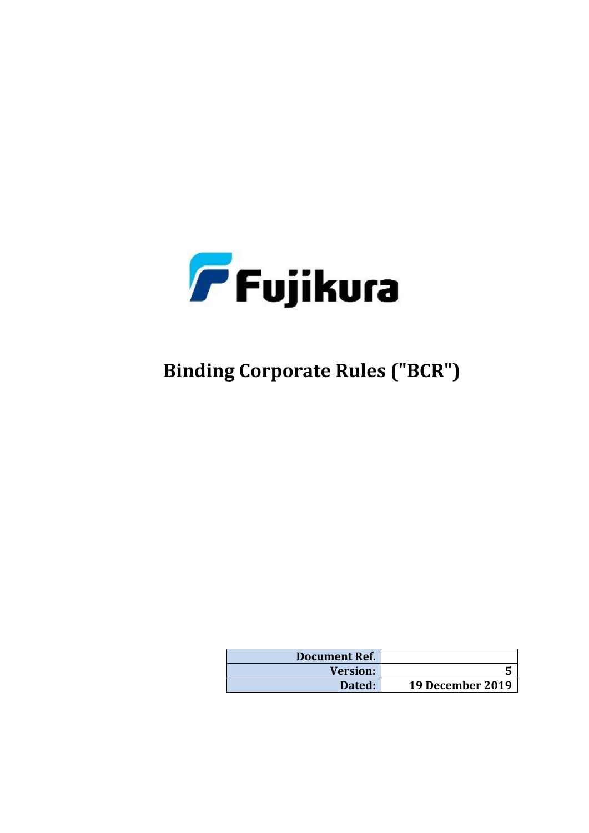

# **Binding Corporate Rules ("BCR")**

|                  | <b>Document Ref.</b> |
|------------------|----------------------|
|                  | <b>Version:</b>      |
| 19 December 2019 | Dated:               |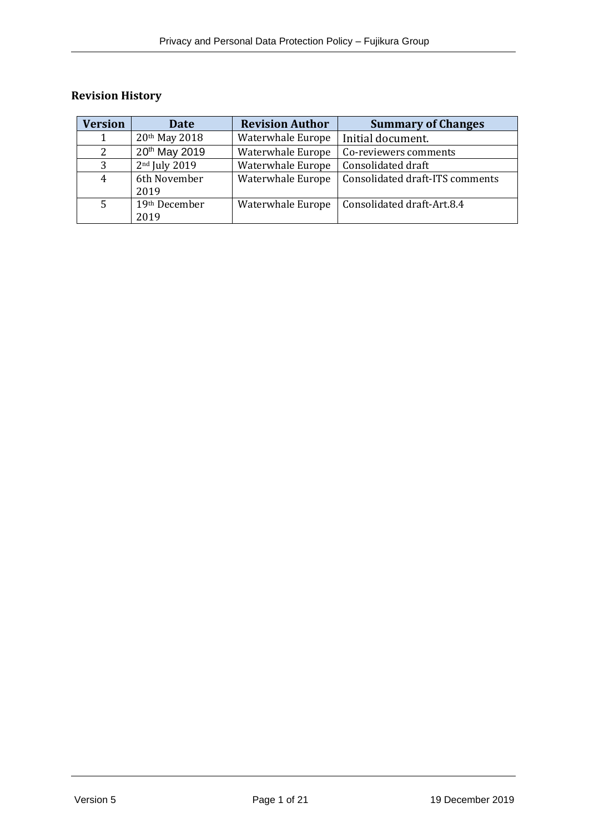# **Revision History**

| <b>Version</b> | Date                      | <b>Revision Author</b> | <b>Summary of Changes</b>       |
|----------------|---------------------------|------------------------|---------------------------------|
| $\mathbf{1}$   | 20th May 2018             | Waterwhale Europe      | Initial document.               |
| 2              | 20 <sup>th</sup> May 2019 | Waterwhale Europe      | Co-reviewers comments           |
| 3              | 2 <sup>nd</sup> July 2019 | Waterwhale Europe      | Consolidated draft              |
| $\overline{4}$ | 6th November<br>2019      | Waterwhale Europe      | Consolidated draft-ITS comments |
| 5              | 19th December<br>2019     | Waterwhale Europe      | Consolidated draft-Art.8.4      |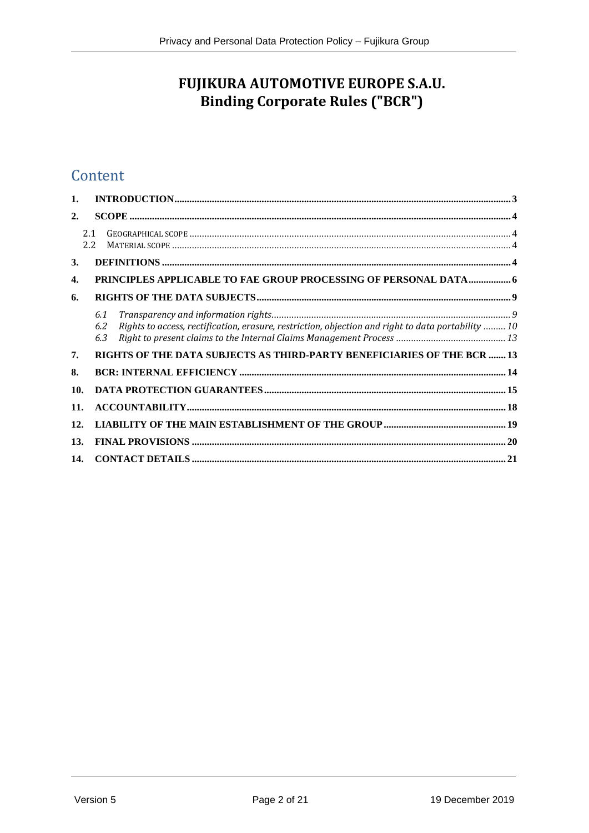# FUJIKURA AUTOMOTIVE EUROPE S.A.U. **Binding Corporate Rules ("BCR")**

# Content

| 1.         |                                                                                                                         |  |
|------------|-------------------------------------------------------------------------------------------------------------------------|--|
| 2.         |                                                                                                                         |  |
| 2.1<br>2.2 |                                                                                                                         |  |
| 3.         |                                                                                                                         |  |
| 4.         | PRINCIPLES APPLICABLE TO FAE GROUP PROCESSING OF PERSONAL DATA 6                                                        |  |
| 6.         |                                                                                                                         |  |
|            | 6.1<br>Rights to access, rectification, erasure, restriction, objection and right to data portability  10<br>6.2<br>6.3 |  |
| 7.         | RIGHTS OF THE DATA SUBJECTS AS THIRD-PARTY BENEFICIARIES OF THE BCR  13                                                 |  |
| 8.         |                                                                                                                         |  |
| 10.        |                                                                                                                         |  |
| 11.        |                                                                                                                         |  |
| 12.        |                                                                                                                         |  |
| 13.        |                                                                                                                         |  |
| 14.        |                                                                                                                         |  |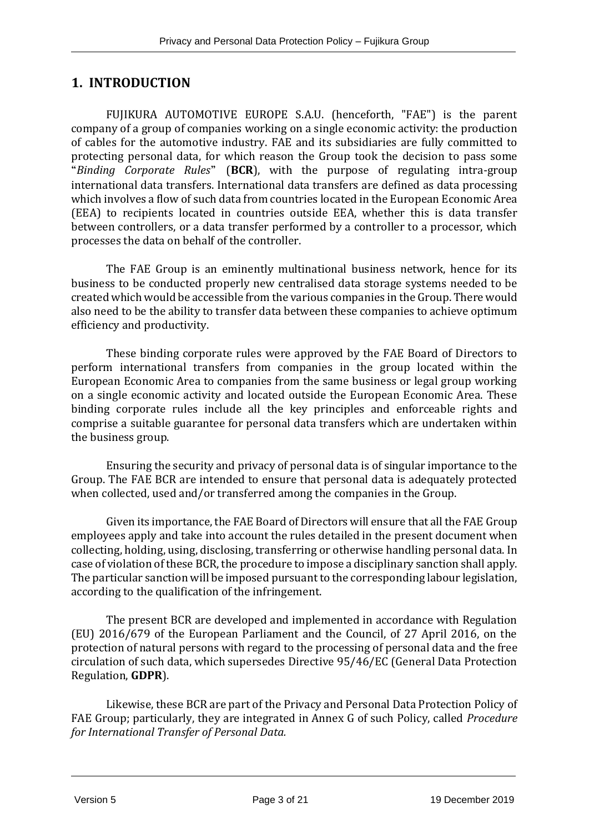# <span id="page-3-0"></span>**1. INTRODUCTION**

FUJIKURA AUTOMOTIVE EUROPE S.A.U. (henceforth, "FAE") is the parent company of a group of companies working on a single economic activity: the production of cables for the automotive industry. FAE and its subsidiaries are fully committed to protecting personal data, for which reason the Group took the decision to pass some *Binding Corporate Rules* (**BCR**), with the purpose of regulating intra-group international data transfers. International data transfers are defined as data processing which involves a flow of such data from countries located in the European Economic Area (EEA) to recipients located in countries outside EEA, whether this is data transfer between controllers, or a data transfer performed by a controller to a processor, which processes the data on behalf of the controller.

The FAE Group is an eminently multinational business network, hence for its business to be conducted properly new centralised data storage systems needed to be created which would be accessible from the various companies in the Group. There would also need to be the ability to transfer data between these companies to achieve optimum efficiency and productivity.

These binding corporate rules were approved by the FAE Board of Directors to perform international transfers from companies in the group located within the European Economic Area to companies from the same business or legal group working on a single economic activity and located outside the European Economic Area. These binding corporate rules include all the key principles and enforceable rights and comprise a suitable guarantee for personal data transfers which are undertaken within the business group.

Ensuring the security and privacy of personal data is of singular importance to the Group. The FAE BCR are intended to ensure that personal data is adequately protected when collected, used and/or transferred among the companies in the Group.

Given its importance, the FAE Board of Directors will ensure that all the FAE Group employees apply and take into account the rules detailed in the present document when collecting, holding, using, disclosing, transferring or otherwise handling personal data. In case of violation of these BCR, the procedure to impose a disciplinary sanction shall apply. The particular sanction will be imposed pursuant to the corresponding labour legislation, according to the qualification of the infringement.

The present BCR are developed and implemented in accordance with Regulation (EU) 2016/679 of the European Parliament and the Council, of 27 April 2016, on the protection of natural persons with regard to the processing of personal data and the free circulation of such data, which supersedes Directive 95/46/EC (General Data Protection Regulation, **GDPR**).

Likewise, these BCR are part of the Privacy and Personal Data Protection Policy of FAE Group; particularly, they are integrated in Annex G of such Policy, called *Procedure for International Transfer of Personal Data.*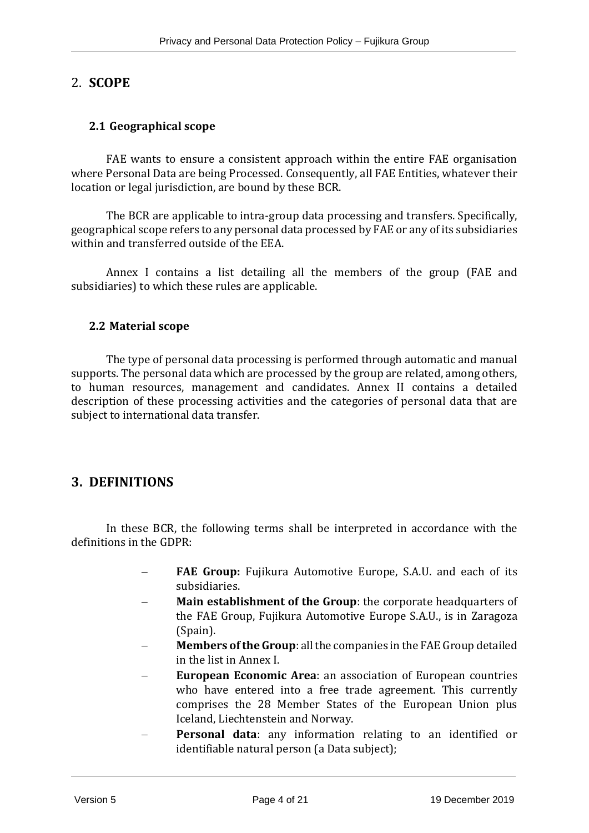### <span id="page-4-0"></span>2. **SCOPE**

#### <span id="page-4-1"></span>**2.1 Geographical scope**

FAE wants to ensure a consistent approach within the entire FAE organisation where Personal Data are being Processed. Consequently, all FAE Entities, whatever their location or legal jurisdiction, are bound by these BCR.

The BCR are applicable to intra-group data processing and transfers. Specifically, geographical scope refers to any personal data processed by FAE or any of its subsidiaries within and transferred outside of the EEA.

Annex I contains a list detailing all the members of the group (FAE and subsidiaries) to which these rules are applicable.

#### <span id="page-4-2"></span>**2.2 Material scope**

The type of personal data processing is performed through automatic and manual supports. The personal data which are processed by the group are related, among others, to human resources, management and candidates. Annex II contains a detailed description of these processing activities and the categories of personal data that are subject to international data transfer.

### <span id="page-4-3"></span>**3. DEFINITIONS**

In these BCR, the following terms shall be interpreted in accordance with the definitions in the GDPR:

- FAE Group: Fujikura Automotive Europe, S.A.U. and each of its subsidiaries.
- **Main establishment of the Group**: the corporate headquarters of the FAE Group, Fujikura Automotive Europe S.A.U., is in Zaragoza (Spain).
- **Members of the Group**: all the companies in the FAE Group detailed in the list in Annex I.
- **European Economic Area: an association of European countries** who have entered into a free trade agreement. This currently comprises the 28 Member States of the European Union plus Iceland, Liechtenstein and Norway.
- Personal data: any information relating to an identified or identifiable natural person (a Data subject);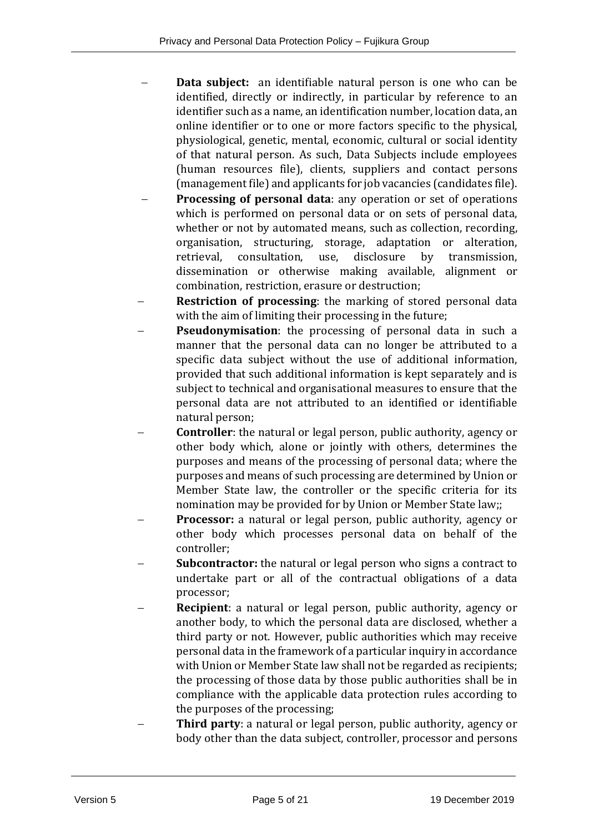- **Data subject:** an identifiable natural person is one who can be identified, directly or indirectly, in particular by reference to an identifier such as a name, an identification number, location data, an online identifier or to one or more factors specific to the physical, physiological, genetic, mental, economic, cultural or social identity of that natural person. As such, Data Subjects include employees (human resources file), clients, suppliers and contact persons (management file) and applicants for job vacancies (candidates file).
- **Processing of personal data:** any operation or set of operations which is performed on personal data or on sets of personal data, whether or not by automated means, such as collection, recording, organisation, structuring, storage, adaptation or alteration, retrieval, consultation, use, disclosure by transmission, dissemination or otherwise making available, alignment or combination, restriction, erasure or destruction;
- **Restriction of processing**: the marking of stored personal data with the aim of limiting their processing in the future;
- **Pseudonymisation**: the processing of personal data in such a manner that the personal data can no longer be attributed to a specific data subject without the use of additional information, provided that such additional information is kept separately and is subject to technical and organisational measures to ensure that the personal data are not attributed to an identified or identifiable natural person;
- **Controller**: the natural or legal person, public authority, agency or other body which, alone or jointly with others, determines the purposes and means of the processing of personal data; where the purposes and means of such processing are determined by Union or Member State law, the controller or the specific criteria for its nomination may be provided for by Union or Member State law;;
- **Processor:** a natural or legal person, public authority, agency or other body which processes personal data on behalf of the controller;
- Subcontractor: the natural or legal person who signs a contract to undertake part or all of the contractual obligations of a data processor;
- **Recipient**: a natural or legal person, public authority, agency or another body, to which the personal data are disclosed, whether a third party or not. However, public authorities which may receive personal data in the framework of a particular inquiry in accordance with Union or Member State law shall not be regarded as recipients; the processing of those data by those public authorities shall be in compliance with the applicable data protection rules according to the purposes of the processing;
- Third party: a natural or legal person, public authority, agency or body other than the data subject, controller, processor and persons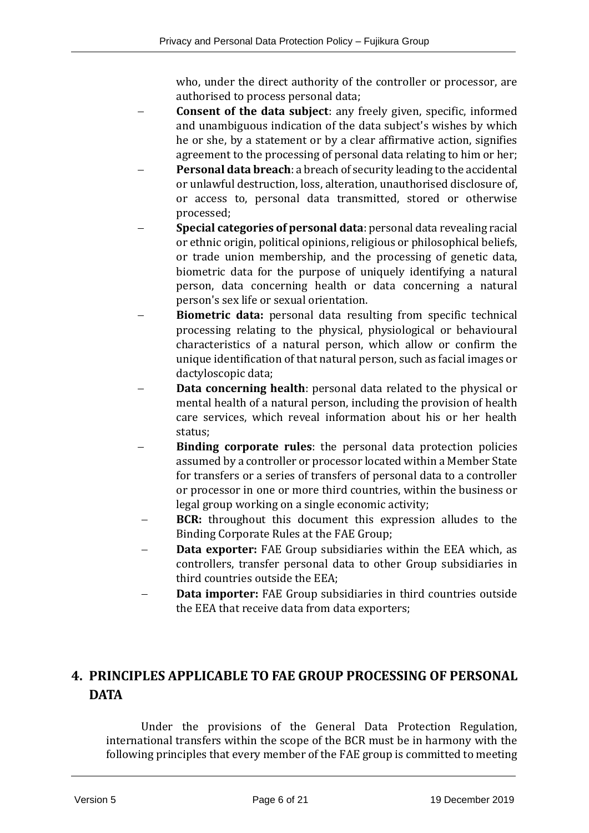who, under the direct authority of the controller or processor, are authorised to process personal data;

- **Consent of the data subject:** any freely given, specific, informed and unambiguous indication of the data subject's wishes by which he or she, by a statement or by a clear affirmative action, signifies agreement to the processing of personal data relating to him or her;
- **Personal data breach**: a breach of security leading to the accidental or unlawful destruction, loss, alteration, unauthorised disclosure of, or access to, personal data transmitted, stored or otherwise processed;
- − **Special categories of personal data**: personal data revealing racial or ethnic origin, political opinions, religious or philosophical beliefs, or trade union membership, and the processing of genetic data, biometric data for the purpose of uniquely identifying a natural person, data concerning health or data concerning a natural person's sex life or sexual orientation.
- Biometric data: personal data resulting from specific technical processing relating to the physical, physiological or behavioural characteristics of a natural person, which allow or confirm the unique identification of that natural person, such as facial images or dactyloscopic data;
- **Data concerning health**: personal data related to the physical or mental health of a natural person, including the provision of health care services, which reveal information about his or her health status;
- **Binding corporate rules**: the personal data protection policies assumed by a controller or processor located within a Member State for transfers or a series of transfers of personal data to a controller or processor in one or more third countries, within the business or legal group working on a single economic activity;
- **BCR:** throughout this document this expression alludes to the Binding Corporate Rules at the FAE Group;
- **Data exporter:** FAE Group subsidiaries within the EEA which, as controllers, transfer personal data to other Group subsidiaries in third countries outside the EEA;
- **Data importer:** FAE Group subsidiaries in third countries outside the EEA that receive data from data exporters;

# <span id="page-6-0"></span>**4. PRINCIPLES APPLICABLE TO FAE GROUP PROCESSING OF PERSONAL DATA**

Under the provisions of the General Data Protection Regulation, international transfers within the scope of the BCR must be in harmony with the following principles that every member of the FAE group is committed to meeting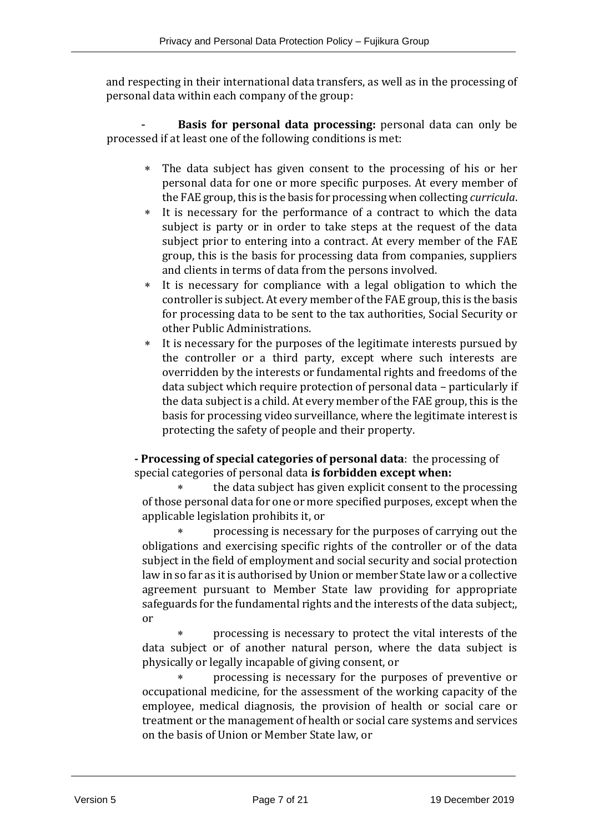and respecting in their international data transfers, as well as in the processing of personal data within each company of the group:

**Basis for personal data processing:** personal data can only be processed if at least one of the following conditions is met:

- The data subject has given consent to the processing of his or her personal data for one or more specific purposes. At every member of the FAE group, this is the basis for processing when collecting *curricula*.
- It is necessary for the performance of a contract to which the data subject is party or in order to take steps at the request of the data subject prior to entering into a contract. At every member of the FAE group, this is the basis for processing data from companies, suppliers and clients in terms of data from the persons involved.
- It is necessary for compliance with a legal obligation to which the controller is subject. At every member of the FAE group, this is the basis for processing data to be sent to the tax authorities, Social Security or other Public Administrations.
- It is necessary for the purposes of the legitimate interests pursued by the controller or a third party, except where such interests are overridden by the interests or fundamental rights and freedoms of the data subject which require protection of personal data – particularly if the data subject is a child. At every member of the FAE group, this is the basis for processing video surveillance, where the legitimate interest is protecting the safety of people and their property.

**- Processing of special categories of personal data**: the processing of special categories of personal data **is forbidden except when:**

 the data subject has given explicit consent to the processing of those personal data for one or more specified purposes, except when the applicable legislation prohibits it, or

 processing is necessary for the purposes of carrying out the obligations and exercising specific rights of the controller or of the data subject in the field of employment and social security and social protection law in so far as it is authorised by Union or member State law or a collective agreement pursuant to Member State law providing for appropriate safeguards for the fundamental rights and the interests of the data subject;, or

 processing is necessary to protect the vital interests of the data subject or of another natural person, where the data subject is physically or legally incapable of giving consent, or

 processing is necessary for the purposes of preventive or occupational medicine, for the assessment of the working capacity of the employee, medical diagnosis, the provision of health or social care or treatment or the management of health or social care systems and services on the basis of Union or Member State law, or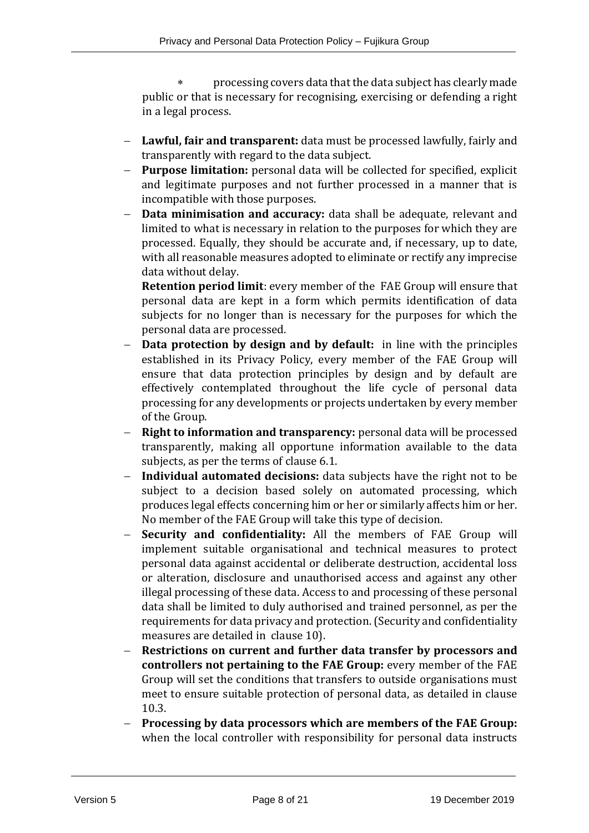processing covers data that the data subject has clearly made public or that is necessary for recognising, exercising or defending a right in a legal process.

- − **Lawful, fair and transparent:** data must be processed lawfully, fairly and transparently with regard to the data subject.
- − **Purpose limitation:** personal data will be collected for specified, explicit and legitimate purposes and not further processed in a manner that is incompatible with those purposes.
- − **Data minimisation and accuracy:** data shall be adequate, relevant and limited to what is necessary in relation to the purposes for which they are processed. Equally, they should be accurate and, if necessary, up to date, with all reasonable measures adopted to eliminate or rectify any imprecise data without delay.

**Retention period limit**: every member of the FAE Group will ensure that personal data are kept in a form which permits identification of data subjects for no longer than is necessary for the purposes for which the personal data are processed.

- Data protection by design and by default: in line with the principles established in its Privacy Policy, every member of the FAE Group will ensure that data protection principles by design and by default are effectively contemplated throughout the life cycle of personal data processing for any developments or projects undertaken by every member of the Group.
- **Right to information and transparency:** personal data will be processed transparently, making all opportune information available to the data subjects, as per the terms of clause 6.1.
- Individual automated decisions: data subjects have the right not to be subject to a decision based solely on automated processing, which produces legal effects concerning him or her or similarly affects him or her. No member of the FAE Group will take this type of decision.
- Security and confidentiality: All the members of FAE Group will implement suitable organisational and technical measures to protect personal data against accidental or deliberate destruction, accidental loss or alteration, disclosure and unauthorised access and against any other illegal processing of these data. Access to and processing of these personal data shall be limited to duly authorised and trained personnel, as per the requirements for data privacy and protection. (Security and confidentiality measures are detailed in clause 10).
- − **Restrictions on current and further data transfer by processors and controllers not pertaining to the FAE Group:** every member of the FAE Group will set the conditions that transfers to outside organisations must meet to ensure suitable protection of personal data, as detailed in clause 10.3.
- − **Processing by data processors which are members of the FAE Group:**  when the local controller with responsibility for personal data instructs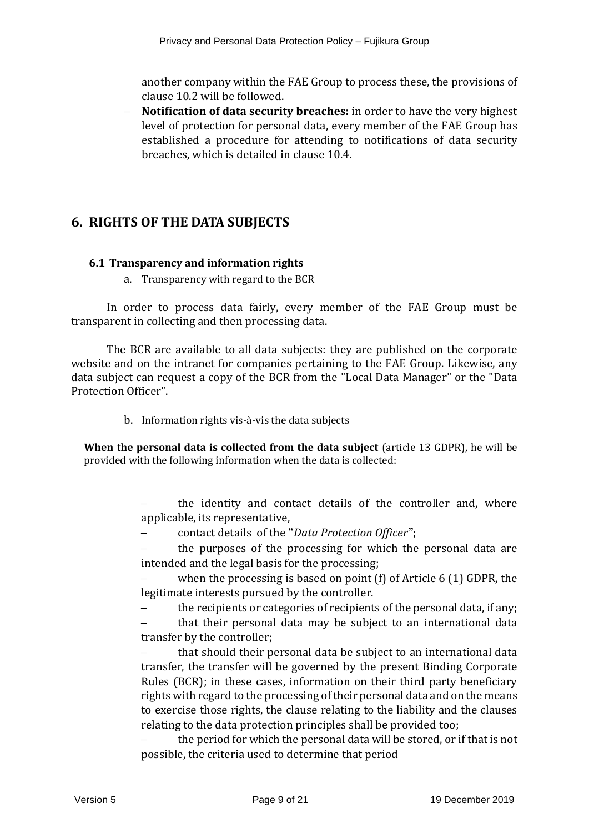another company within the FAE Group to process these, the provisions of clause 10.2 will be followed.

**Notification of data security breaches:** in order to have the very highest level of protection for personal data, every member of the FAE Group has established a procedure for attending to notifications of data security breaches, which is detailed in clause 10.4.

# <span id="page-9-0"></span>**6. RIGHTS OF THE DATA SUBJECTS**

#### <span id="page-9-1"></span>**6.1 Transparency and information rights**

a. Transparency with regard to the BCR

In order to process data fairly, every member of the FAE Group must be transparent in collecting and then processing data.

The BCR are available to all data subjects: they are published on the corporate website and on the intranet for companies pertaining to the FAE Group. Likewise, any data subject can request a copy of the BCR from the "Local Data Manager" or the "Data Protection Officer".

b. Information rights vis-à-vis the data subjects

**When the personal data is collected from the data subject** (article 13 GDPR), he will be provided with the following information when the data is collected:

> the identity and contact details of the controller and, where applicable, its representative,

contact details of the "Data Protection Officer";

the purposes of the processing for which the personal data are intended and the legal basis for the processing;

when the processing is based on point  $(f)$  of Article 6  $(1)$  GDPR, the legitimate interests pursued by the controller.

the recipients or categories of recipients of the personal data, if any;

that their personal data may be subject to an international data transfer by the controller;

that should their personal data be subject to an international data transfer, the transfer will be governed by the present Binding Corporate Rules (BCR); in these cases, information on their third party beneficiary rights with regard to the processing of their personal data and on the means to exercise those rights, the clause relating to the liability and the clauses relating to the data protection principles shall be provided too;

the period for which the personal data will be stored, or if that is not possible, the criteria used to determine that period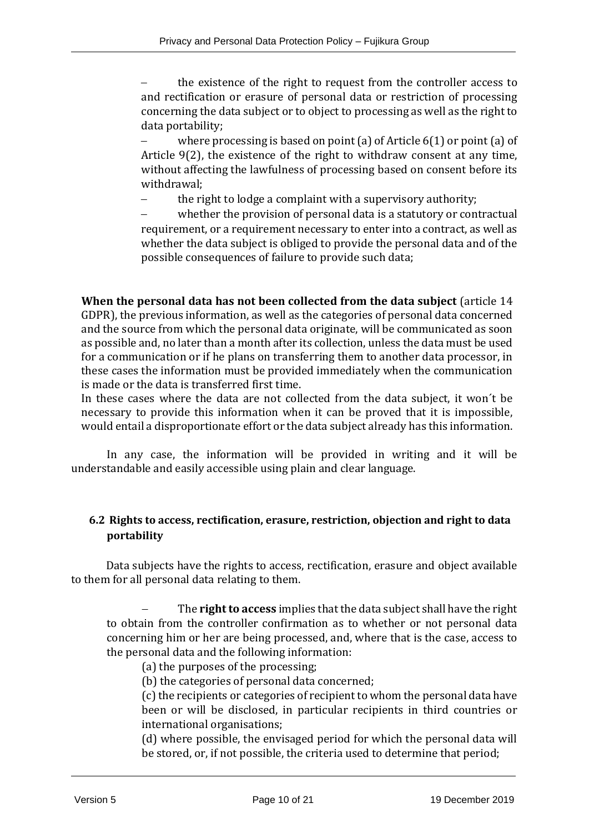the existence of the right to request from the controller access to and rectification or erasure of personal data or restriction of processing concerning the data subject or to object to processing as well as the right to data portability;

where processing is based on point (a) of Article  $6(1)$  or point (a) of Article 9(2), the existence of the right to withdraw consent at any time, without affecting the lawfulness of processing based on consent before its withdrawal;

the right to lodge a complaint with a supervisory authority;

whether the provision of personal data is a statutory or contractual requirement, or a requirement necessary to enter into a contract, as well as whether the data subject is obliged to provide the personal data and of the possible consequences of failure to provide such data;

**When the personal data has not been collected from the data subject** (article 14 GDPR), the previous information, as well as the categories of personal data concerned and the source from which the personal data originate, will be communicated as soon as possible and, no later than a month after its collection, unless the data must be used for a communication or if he plans on transferring them to another data processor, in these cases the information must be provided immediately when the communication is made or the data is transferred first time.

In these cases where the data are not collected from the data subject, it won´t be necessary to provide this information when it can be proved that it is impossible, would entail a disproportionate effort or the data subject already has this information.

In any case, the information will be provided in writing and it will be understandable and easily accessible using plain and clear language.

#### <span id="page-10-0"></span>**6.2 Rights to access, rectification, erasure, restriction, objection and right to data portability**

Data subjects have the rights to access, rectification, erasure and object available to them for all personal data relating to them.

The **right to access** implies that the data subject shall have the right to obtain from the controller confirmation as to whether or not personal data concerning him or her are being processed, and, where that is the case, access to the personal data and the following information:

(a) the purposes of the processing;

(b) the categories of personal data concerned;

(c) the recipients or categories of recipient to whom the personal data have been or will be disclosed, in particular recipients in third countries or international organisations;

(d) where possible, the envisaged period for which the personal data will be stored, or, if not possible, the criteria used to determine that period;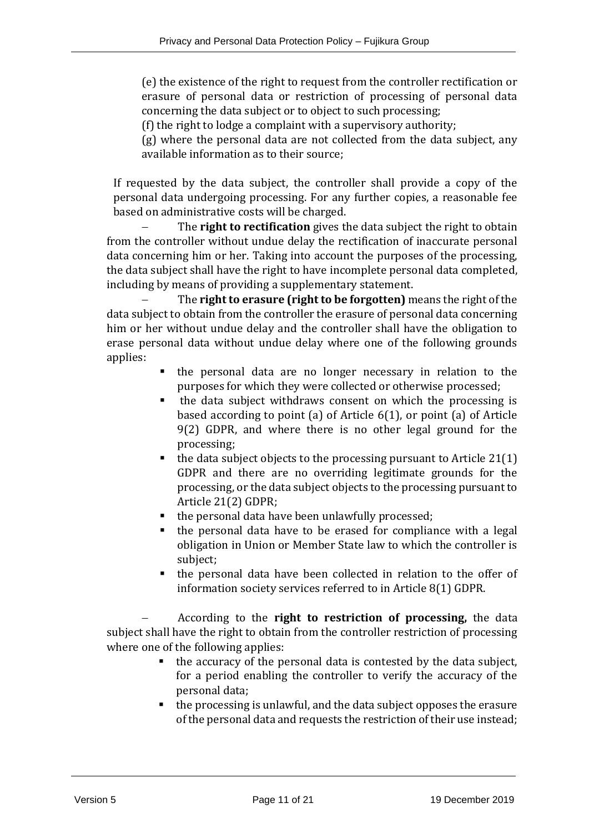(e) the existence of the right to request from the controller rectification or erasure of personal data or restriction of processing of personal data concerning the data subject or to object to such processing;

(f) the right to lodge a complaint with a supervisory authority;

(g) where the personal data are not collected from the data subject, any available information as to their source;

If requested by the data subject, the controller shall provide a copy of the personal data undergoing processing. For any further copies, a reasonable fee based on administrative costs will be charged.

The **right to rectification** gives the data subject the right to obtain from the controller without undue delay the rectification of inaccurate personal data concerning him or her. Taking into account the purposes of the processing, the data subject shall have the right to have incomplete personal data completed, including by means of providing a supplementary statement.

The **right to erasure (right to be forgotten)** means the right of the data subject to obtain from the controller the erasure of personal data concerning him or her without undue delay and the controller shall have the obligation to erase personal data without undue delay where one of the following grounds applies:

- the personal data are no longer necessary in relation to the purposes for which they were collected or otherwise processed;
- the data subject withdraws consent on which the processing is based according to point (a) of Article 6(1), or point (a) of Article 9(2) GDPR, and where there is no other legal ground for the processing;
- $\bullet$  the data subject objects to the processing pursuant to Article 21(1) GDPR and there are no overriding legitimate grounds for the processing, or the data subject objects to the processing pursuant to Article 21(2) GDPR;
- the personal data have been unlawfully processed:
- the personal data have to be erased for compliance with a legal obligation in Union or Member State law to which the controller is subject;
- the personal data have been collected in relation to the offer of information society services referred to in Article 8(1) GDPR.

− According to the **right to restriction of processing,** the data subject shall have the right to obtain from the controller restriction of processing where one of the following applies:

- the accuracy of the personal data is contested by the data subject, for a period enabling the controller to verify the accuracy of the personal data;
- $\blacksquare$  the processing is unlawful, and the data subject opposes the erasure of the personal data and requests the restriction of their use instead;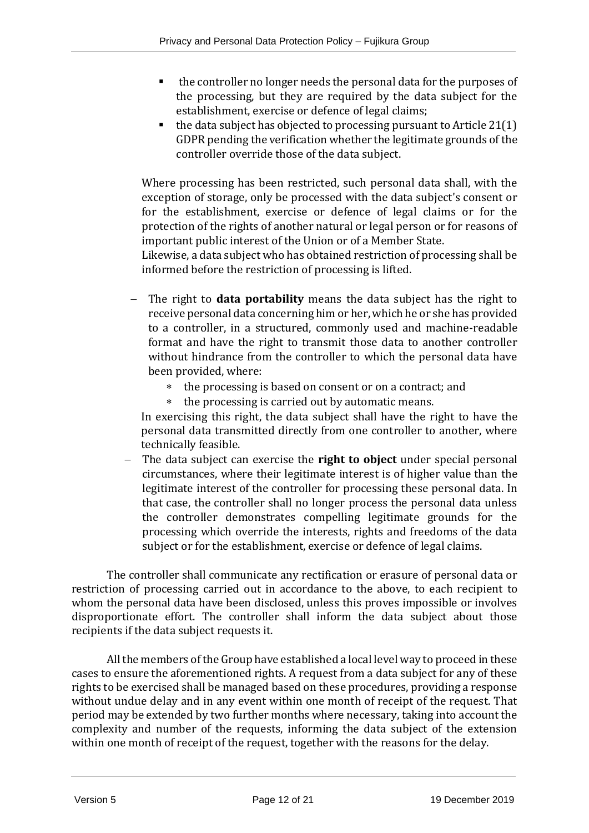- the controller no longer needs the personal data for the purposes of the processing, but they are required by the data subject for the establishment, exercise or defence of legal claims;
- the data subject has objected to processing pursuant to Article  $21(1)$ GDPR pending the verification whether the legitimate grounds of the controller override those of the data subject.

Where processing has been restricted, such personal data shall, with the exception of storage, only be processed with the data subject's consent or for the establishment, exercise or defence of legal claims or for the protection of the rights of another natural or legal person or for reasons of important public interest of the Union or of a Member State.

Likewise, a data subject who has obtained restriction of processing shall be informed before the restriction of processing is lifted.

- − The right to **data portability** means the data subject has the right to receive personal data concerning him or her, which he or she has provided to a controller, in a structured, commonly used and machine-readable format and have the right to transmit those data to another controller without hindrance from the controller to which the personal data have been provided, where:
	- the processing is based on consent or on a contract; and
	- the processing is carried out by automatic means.

In exercising this right, the data subject shall have the right to have the personal data transmitted directly from one controller to another, where technically feasible.

− The data subject can exercise the **right to object** under special personal circumstances, where their legitimate interest is of higher value than the legitimate interest of the controller for processing these personal data. In that case, the controller shall no longer process the personal data unless the controller demonstrates compelling legitimate grounds for the processing which override the interests, rights and freedoms of the data subject or for the establishment, exercise or defence of legal claims.

The controller shall communicate any rectification or erasure of personal data or restriction of processing carried out in accordance to the above, to each recipient to whom the personal data have been disclosed, unless this proves impossible or involves disproportionate effort. The controller shall inform the data subject about those recipients if the data subject requests it.

All the members of the Group have established a local level way to proceed in these cases to ensure the aforementioned rights. A request from a data subject for any of these rights to be exercised shall be managed based on these procedures, providing a response without undue delay and in any event within one month of receipt of the request. That period may be extended by two further months where necessary, taking into account the complexity and number of the requests, informing the data subject of the extension within one month of receipt of the request, together with the reasons for the delay.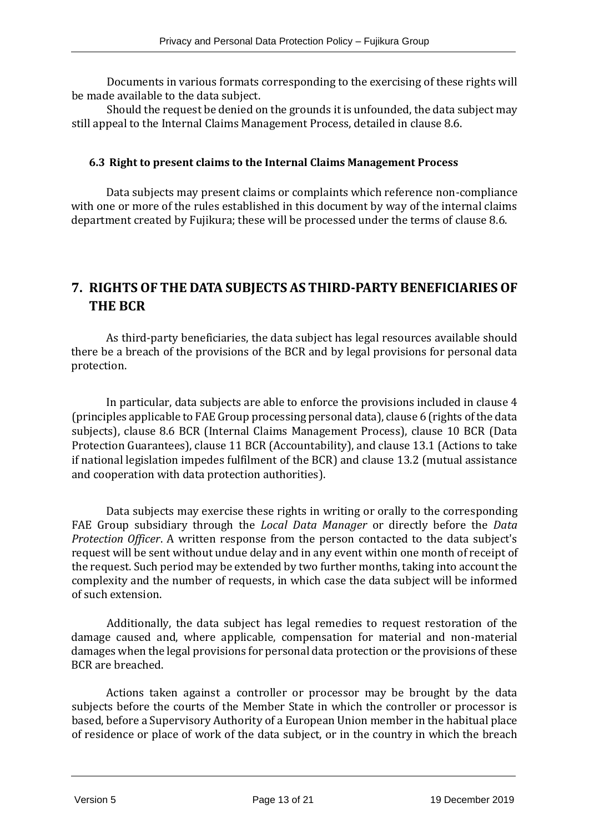Documents in various formats corresponding to the exercising of these rights will be made available to the data subject.

Should the request be denied on the grounds it is unfounded, the data subject may still appeal to the Internal Claims Management Process, detailed in clause 8.6.

#### <span id="page-13-0"></span>**6.3 Right to present claims to the Internal Claims Management Process**

Data subjects may present claims or complaints which reference non-compliance with one or more of the rules established in this document by way of the internal claims department created by Fujikura; these will be processed under the terms of clause 8.6.

# <span id="page-13-1"></span>**7. RIGHTS OF THE DATA SUBJECTS AS THIRD-PARTY BENEFICIARIES OF THE BCR**

As third-party beneficiaries, the data subject has legal resources available should there be a breach of the provisions of the BCR and by legal provisions for personal data protection.

In particular, data subjects are able to enforce the provisions included in clause 4 (principles applicable to FAE Group processing personal data), clause 6 (rights of the data subjects), clause 8.6 BCR (Internal Claims Management Process), clause 10 BCR (Data Protection Guarantees), clause 11 BCR (Accountability), and clause 13.1 (Actions to take if national legislation impedes fulfilment of the BCR) and clause 13.2 (mutual assistance and cooperation with data protection authorities).

Data subjects may exercise these rights in writing or orally to the corresponding FAE Group subsidiary through the *Local Data Manager* or directly before the *Data Protection Officer*. A written response from the person contacted to the data subject's request will be sent without undue delay and in any event within one month of receipt of the request. Such period may be extended by two further months, taking into account the complexity and the number of requests, in which case the data subject will be informed of such extension.

Additionally, the data subject has legal remedies to request restoration of the damage caused and, where applicable, compensation for material and non-material damages when the legal provisions for personal data protection or the provisions of these BCR are breached.

Actions taken against a controller or processor may be brought by the data subjects before the courts of the Member State in which the controller or processor is based, before a Supervisory Authority of a European Union member in the habitual place of residence or place of work of the data subject, or in the country in which the breach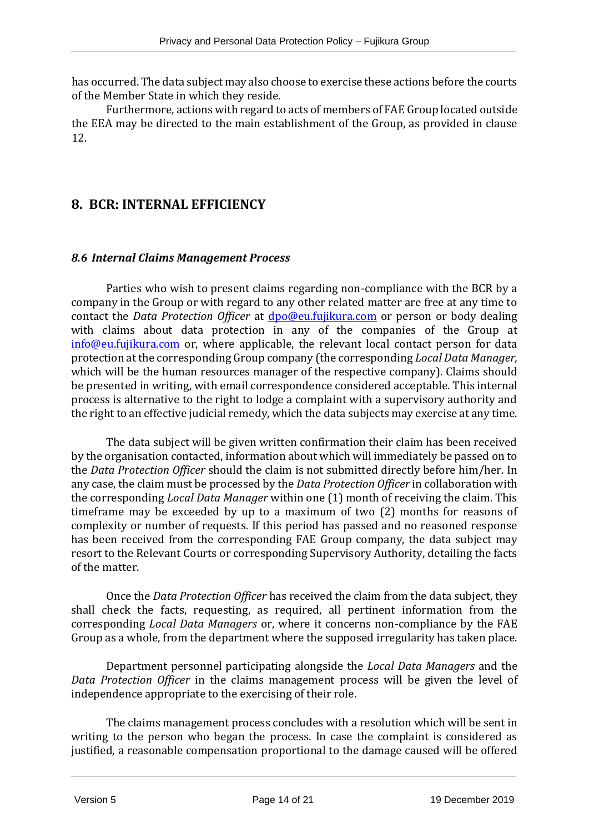has occurred. The data subject may also choose to exercise these actions before the courts of the Member State in which they reside.

Furthermore, actions with regard to acts of members of FAE Group located outside the EEA may be directed to the main establishment of the Group, as provided in clause 12.

# <span id="page-14-0"></span>**8. BCR: INTERNAL EFFICIENCY**

#### *8.6 Internal Claims Management Process*

Parties who wish to present claims regarding non-compliance with the BCR by a company in the Group or with regard to any other related matter are free at any time to contact the *Data Protection Officer* at [dpo@eu.fujikura.com](mailto:dpo@eu.fujikura.com) or person or body dealing with claims about data protection in any of the companies of the Group at [info@eu.fujikura.com](mailto:info@eu.fujikura.com) or, where applicable, the relevant local contact person for data protection at the corresponding Group company (the corresponding *Local Data Manager,*  which will be the human resources manager of the respective company). Claims should be presented in writing, with email correspondence considered acceptable. This internal process is alternative to the right to lodge a complaint with a supervisory authority and the right to an effective judicial remedy, which the data subjects may exercise at any time.

The data subject will be given written confirmation their claim has been received by the organisation contacted, information about which will immediately be passed on to the *Data Protection Officer* should the claim is not submitted directly before him/her. In any case, the claim must be processed by the *Data Protection Officer* in collaboration with the corresponding *Local Data Manager* within one (1) month of receiving the claim. This timeframe may be exceeded by up to a maximum of two (2) months for reasons of complexity or number of requests. If this period has passed and no reasoned response has been received from the corresponding FAE Group company, the data subject may resort to the Relevant Courts or corresponding Supervisory Authority, detailing the facts of the matter.

Once the *Data Protection Officer* has received the claim from the data subject, they shall check the facts, requesting, as required, all pertinent information from the corresponding *Local Data Managers* or, where it concerns non-compliance by the FAE Group as a whole, from the department where the supposed irregularity has taken place.

Department personnel participating alongside the *Local Data Managers* and the *Data Protection Officer* in the claims management process will be given the level of independence appropriate to the exercising of their role.

The claims management process concludes with a resolution which will be sent in writing to the person who began the process. In case the complaint is considered as justified, a reasonable compensation proportional to the damage caused will be offered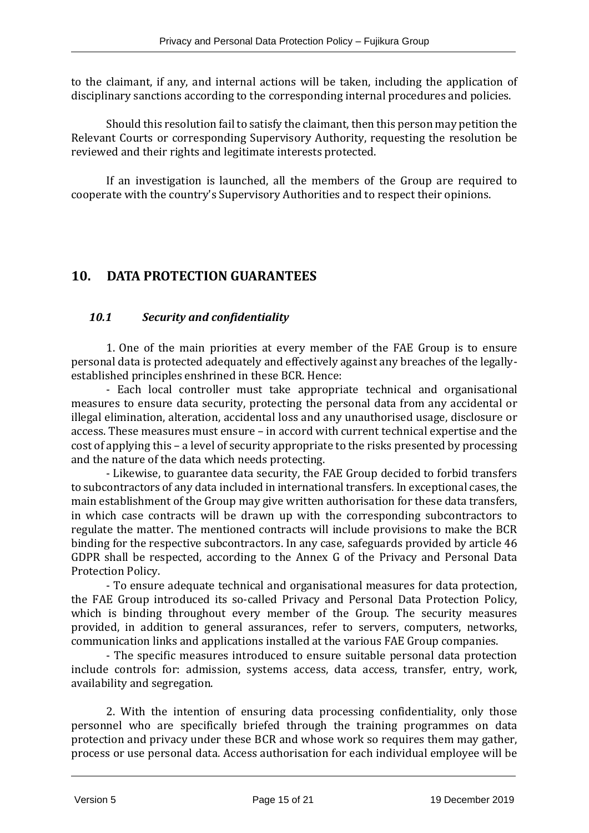to the claimant, if any, and internal actions will be taken, including the application of disciplinary sanctions according to the corresponding internal procedures and policies.

Should this resolution fail to satisfy the claimant, then this person may petition the Relevant Courts or corresponding Supervisory Authority, requesting the resolution be reviewed and their rights and legitimate interests protected.

If an investigation is launched, all the members of the Group are required to cooperate with the country's Supervisory Authorities and to respect their opinions.

# <span id="page-15-0"></span>**10. DATA PROTECTION GUARANTEES**

#### *10.1 Security and confidentiality*

1. One of the main priorities at every member of the FAE Group is to ensure personal data is protected adequately and effectively against any breaches of the legallyestablished principles enshrined in these BCR. Hence:

- Each local controller must take appropriate technical and organisational measures to ensure data security, protecting the personal data from any accidental or illegal elimination, alteration, accidental loss and any unauthorised usage, disclosure or access. These measures must ensure – in accord with current technical expertise and the cost of applying this – a level of security appropriate to the risks presented by processing and the nature of the data which needs protecting.

- Likewise, to guarantee data security, the FAE Group decided to forbid transfers to subcontractors of any data included in international transfers. In exceptional cases, the main establishment of the Group may give written authorisation for these data transfers, in which case contracts will be drawn up with the corresponding subcontractors to regulate the matter. The mentioned contracts will include provisions to make the BCR binding for the respective subcontractors. In any case, safeguards provided by article 46 GDPR shall be respected, according to the Annex G of the Privacy and Personal Data Protection Policy.

- To ensure adequate technical and organisational measures for data protection, the FAE Group introduced its so-called Privacy and Personal Data Protection Policy, which is binding throughout every member of the Group. The security measures provided, in addition to general assurances, refer to servers, computers, networks, communication links and applications installed at the various FAE Group companies.

- The specific measures introduced to ensure suitable personal data protection include controls for: admission, systems access, data access, transfer, entry, work, availability and segregation.

2. With the intention of ensuring data processing confidentiality, only those personnel who are specifically briefed through the training programmes on data protection and privacy under these BCR and whose work so requires them may gather, process or use personal data. Access authorisation for each individual employee will be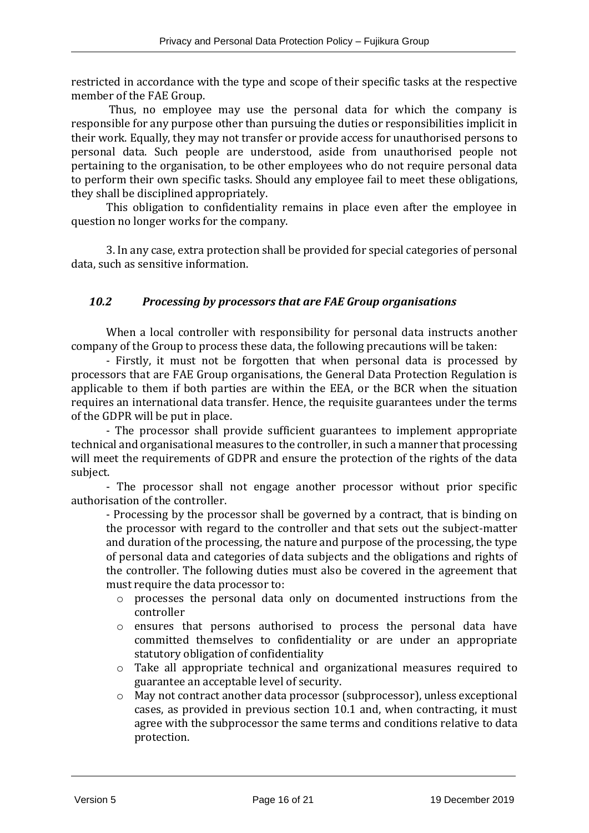restricted in accordance with the type and scope of their specific tasks at the respective member of the FAE Group.

Thus, no employee may use the personal data for which the company is responsible for any purpose other than pursuing the duties or responsibilities implicit in their work. Equally, they may not transfer or provide access for unauthorised persons to personal data. Such people are understood, aside from unauthorised people not pertaining to the organisation, to be other employees who do not require personal data to perform their own specific tasks. Should any employee fail to meet these obligations, they shall be disciplined appropriately.

This obligation to confidentiality remains in place even after the employee in question no longer works for the company.

3. In any case, extra protection shall be provided for special categories of personal data, such as sensitive information.

#### *10.2 Processing by processors that are FAE Group organisations*

When a local controller with responsibility for personal data instructs another company of the Group to process these data, the following precautions will be taken:

- Firstly, it must not be forgotten that when personal data is processed by processors that are FAE Group organisations, the General Data Protection Regulation is applicable to them if both parties are within the EEA, or the BCR when the situation requires an international data transfer. Hence, the requisite guarantees under the terms of the GDPR will be put in place.

- The processor shall provide sufficient guarantees to implement appropriate technical and organisational measures to the controller, in such a manner that processing will meet the requirements of GDPR and ensure the protection of the rights of the data subject.

- The processor shall not engage another processor without prior specific authorisation of the controller.

- Processing by the processor shall be governed by a contract, that is binding on the processor with regard to the controller and that sets out the subject-matter and duration of the processing, the nature and purpose of the processing, the type of personal data and categories of data subjects and the obligations and rights of the controller. The following duties must also be covered in the agreement that must require the data processor to:

- o processes the personal data only on documented instructions from the controller
- o ensures that persons authorised to process the personal data have committed themselves to confidentiality or are under an appropriate statutory obligation of confidentiality
- o Take all appropriate technical and organizational measures required to guarantee an acceptable level of security.
- o May not contract another data processor (subprocessor), unless exceptional cases, as provided in previous section 10.1 and, when contracting, it must agree with the subprocessor the same terms and conditions relative to data protection.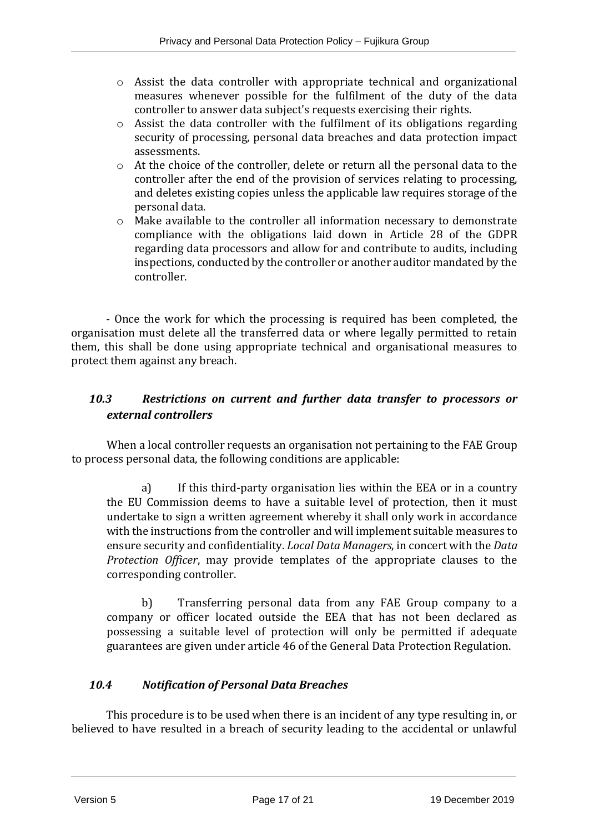- o Assist the data controller with appropriate technical and organizational measures whenever possible for the fulfilment of the duty of the data controller to answer data subject's requests exercising their rights.
- o Assist the data controller with the fulfilment of its obligations regarding security of processing, personal data breaches and data protection impact assessments.
- o At the choice of the controller, delete or return all the personal data to the controller after the end of the provision of services relating to processing, and deletes existing copies unless the applicable law requires storage of the personal data.
- o Make available to the controller all information necessary to demonstrate compliance with the obligations laid down in Article 28 of the GDPR regarding data processors and allow for and contribute to audits, including inspections, conducted by the controller or another auditor mandated by the controller.

- Once the work for which the processing is required has been completed, the organisation must delete all the transferred data or where legally permitted to retain them, this shall be done using appropriate technical and organisational measures to protect them against any breach.

#### *10.3 Restrictions on current and further data transfer to processors or external controllers*

When a local controller requests an organisation not pertaining to the FAE Group to process personal data, the following conditions are applicable:

a) If this third-party organisation lies within the EEA or in a country the EU Commission deems to have a suitable level of protection, then it must undertake to sign a written agreement whereby it shall only work in accordance with the instructions from the controller and will implement suitable measures to ensure security and confidentiality. *Local Data Managers*, in concert with the *Data Protection Officer*, may provide templates of the appropriate clauses to the corresponding controller.

b) Transferring personal data from any FAE Group company to a company or officer located outside the EEA that has not been declared as possessing a suitable level of protection will only be permitted if adequate guarantees are given under article 46 of the General Data Protection Regulation.

#### *10.4 Notification of Personal Data Breaches*

This procedure is to be used when there is an incident of any type resulting in, or believed to have resulted in a breach of security leading to the accidental or unlawful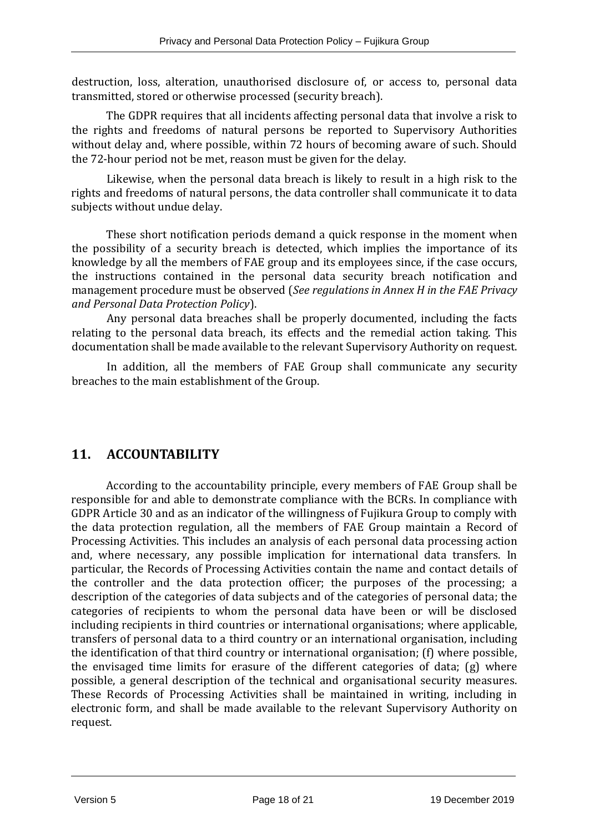destruction, loss, alteration, unauthorised disclosure of, or access to, personal data transmitted, stored or otherwise processed (security breach).

The GDPR requires that all incidents affecting personal data that involve a risk to the rights and freedoms of natural persons be reported to Supervisory Authorities without delay and, where possible, within 72 hours of becoming aware of such. Should the 72-hour period not be met, reason must be given for the delay.

Likewise, when the personal data breach is likely to result in a high risk to the rights and freedoms of natural persons, the data controller shall communicate it to data subjects without undue delay.

These short notification periods demand a quick response in the moment when the possibility of a security breach is detected, which implies the importance of its knowledge by all the members of FAE group and its employees since, if the case occurs, the instructions contained in the personal data security breach notification and management procedure must be observed (*See regulations in Annex H in the FAE Privacy and Personal Data Protection Policy*).

Any personal data breaches shall be properly documented, including the facts relating to the personal data breach, its effects and the remedial action taking. This documentation shall be made available to the relevant Supervisory Authority on request.

In addition, all the members of FAE Group shall communicate any security breaches to the main establishment of the Group.

# <span id="page-18-0"></span>**11. ACCOUNTABILITY**

According to the accountability principle, every members of FAE Group shall be responsible for and able to demonstrate compliance with the BCRs. In compliance with GDPR Article 30 and as an indicator of the willingness of Fujikura Group to comply with the data protection regulation, all the members of FAE Group maintain a Record of Processing Activities. This includes an analysis of each personal data processing action and, where necessary, any possible implication for international data transfers. In particular, the Records of Processing Activities contain the name and contact details of the controller and the data protection officer; the purposes of the processing; a description of the categories of data subjects and of the categories of personal data; the categories of recipients to whom the personal data have been or will be disclosed including recipients in third countries or international organisations; where applicable, transfers of personal data to a third country or an international organisation, including the identification of that third country or international organisation; (f) where possible, the envisaged time limits for erasure of the different categories of data; (g) where possible, a general description of the technical and organisational security measures. These Records of Processing Activities shall be maintained in writing, including in electronic form, and shall be made available to the relevant Supervisory Authority on request.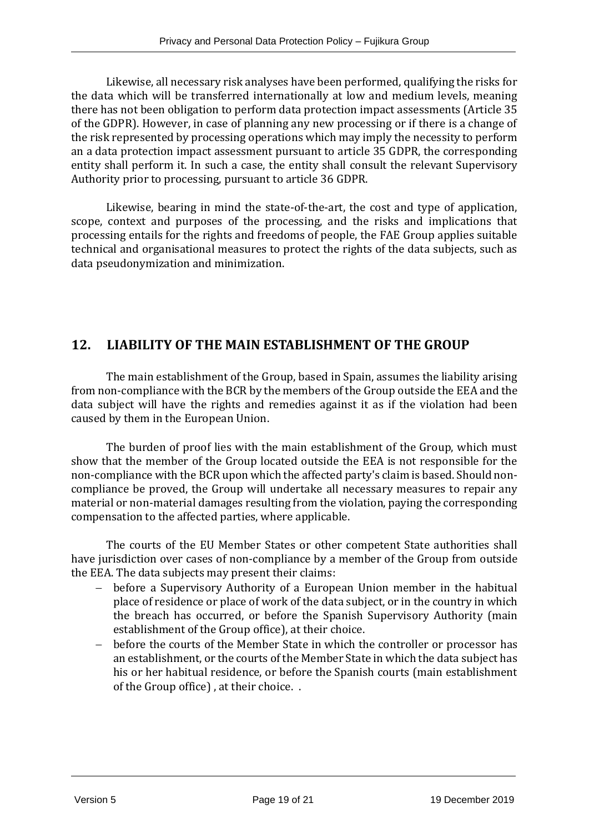Likewise, all necessary risk analyses have been performed, qualifying the risks for the data which will be transferred internationally at low and medium levels, meaning there has not been obligation to perform data protection impact assessments (Article 35 of the GDPR). However, in case of planning any new processing or if there is a change of the risk represented by processing operations which may imply the necessity to perform an a data protection impact assessment pursuant to article 35 GDPR, the corresponding entity shall perform it. In such a case, the entity shall consult the relevant Supervisory Authority prior to processing, pursuant to article 36 GDPR.

Likewise, bearing in mind the state-of-the-art, the cost and type of application, scope, context and purposes of the processing, and the risks and implications that processing entails for the rights and freedoms of people, the FAE Group applies suitable technical and organisational measures to protect the rights of the data subjects, such as data pseudonymization and minimization.

# <span id="page-19-0"></span>**12. LIABILITY OF THE MAIN ESTABLISHMENT OF THE GROUP**

The main establishment of the Group, based in Spain, assumes the liability arising from non-compliance with the BCR by the members of the Group outside the EEA and the data subject will have the rights and remedies against it as if the violation had been caused by them in the European Union.

The burden of proof lies with the main establishment of the Group, which must show that the member of the Group located outside the EEA is not responsible for the non-compliance with the BCR upon which the affected party's claim is based. Should noncompliance be proved, the Group will undertake all necessary measures to repair any material or non-material damages resulting from the violation, paying the corresponding compensation to the affected parties, where applicable.

The courts of the EU Member States or other competent State authorities shall have jurisdiction over cases of non-compliance by a member of the Group from outside the EEA. The data subjects may present their claims:

- before a Supervisory Authority of a European Union member in the habitual place of residence or place of work of the data subject, or in the country in which the breach has occurred, or before the Spanish Supervisory Authority (main establishment of the Group office), at their choice.
- before the courts of the Member State in which the controller or processor has an establishment, or the courts of the Member State in which the data subject has his or her habitual residence, or before the Spanish courts (main establishment of the Group office) , at their choice. .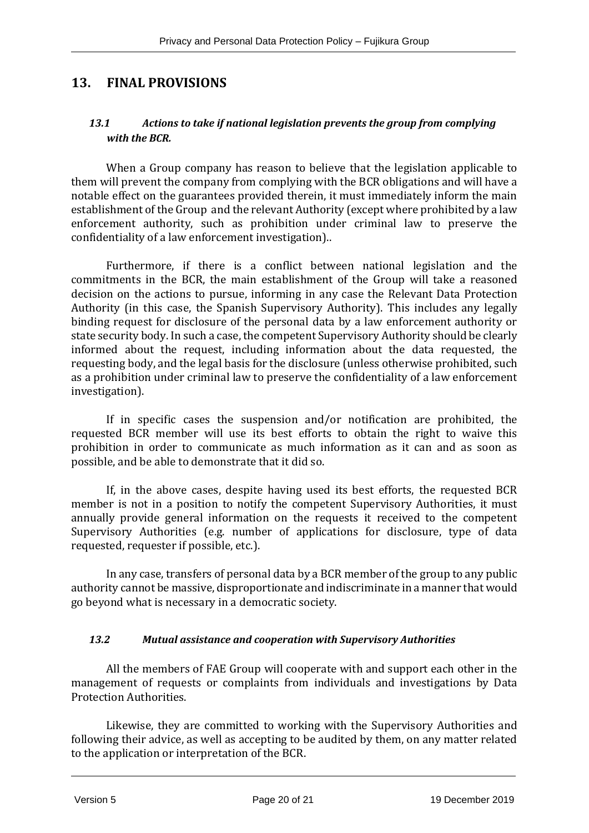# <span id="page-20-0"></span>**13. FINAL PROVISIONS**

#### *13.1 Actions to take if national legislation prevents the group from complying with the BCR.*

When a Group company has reason to believe that the legislation applicable to them will prevent the company from complying with the BCR obligations and will have a notable effect on the guarantees provided therein, it must immediately inform the main establishment of the Group and the relevant Authority (except where prohibited by a law enforcement authority, such as prohibition under criminal law to preserve the confidentiality of a law enforcement investigation)..

Furthermore, if there is a conflict between national legislation and the commitments in the BCR, the main establishment of the Group will take a reasoned decision on the actions to pursue, informing in any case the Relevant Data Protection Authority (in this case, the Spanish Supervisory Authority). This includes any legally binding request for disclosure of the personal data by a law enforcement authority or state security body. In such a case, the competent Supervisory Authority should be clearly informed about the request, including information about the data requested, the requesting body, and the legal basis for the disclosure (unless otherwise prohibited, such as a prohibition under criminal law to preserve the confidentiality of a law enforcement investigation).

If in specific cases the suspension and/or notification are prohibited, the requested BCR member will use its best efforts to obtain the right to waive this prohibition in order to communicate as much information as it can and as soon as possible, and be able to demonstrate that it did so.

If, in the above cases, despite having used its best efforts, the requested BCR member is not in a position to notify the competent Supervisory Authorities, it must annually provide general information on the requests it received to the competent Supervisory Authorities (e.g. number of applications for disclosure, type of data requested, requester if possible, etc.).

In any case, transfers of personal data by a BCR member of the group to any public authority cannot be massive, disproportionate and indiscriminate in a manner that would go beyond what is necessary in a democratic society.

#### *13.2 Mutual assistance and cooperation with Supervisory Authorities*

All the members of FAE Group will cooperate with and support each other in the management of requests or complaints from individuals and investigations by Data Protection Authorities.

Likewise, they are committed to working with the Supervisory Authorities and following their advice, as well as accepting to be audited by them, on any matter related to the application or interpretation of the BCR.